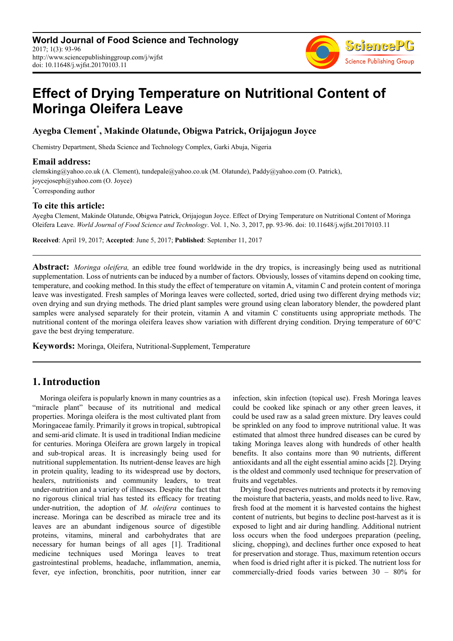

# **Effect of Drying Temperature on Nutritional Content of Moringa Oleifera Leave**

# **Ayegba Clement\* , Makinde Olatunde, Obigwa Patrick, Orijajogun Joyce**

Chemistry Department, Sheda Science and Technology Complex, Garki Abuja, Nigeria

## **Email address:**

clemsking@yahoo.co.uk (A. Clement), tundepale@yahoo.co.uk (M. Olatunde), Paddy@yahoo.com (O. Patrick), joycejoseph@yahoo.com (O. Joyce)

\*Corresponding author

## **To cite this article:**

Ayegba Clement, Makinde Olatunde, Obigwa Patrick, Orijajogun Joyce. Effect of Drying Temperature on Nutritional Content of Moringa Oleifera Leave. *World Journal of Food Science and Technology*. Vol. 1, No. 3, 2017, pp. 93-96. doi: 10.11648/j.wjfst.20170103.11

**Received**: April 19, 2017; **Accepted**: June 5, 2017; **Published**: September 11, 2017

**Abstract:** *Moringa oleifera,* an edible tree found worldwide in the dry tropics, is increasingly being used as nutritional supplementation. Loss of nutrients can be induced by a number of factors. Obviously, losses of vitamins depend on cooking time, temperature, and cooking method. In this study the effect of temperature on vitamin A, vitamin C and protein content of moringa leave was investigated. Fresh samples of Moringa leaves were collected, sorted, dried using two different drying methods viz; oven drying and sun drying methods. The dried plant samples were ground using clean laboratory blender, the powdered plant samples were analysed separately for their protein, vitamin A and vitamin C constituents using appropriate methods. The nutritional content of the moringa oleifera leaves show variation with different drying condition. Drying temperature of 60°C gave the best drying temperature.

**Keywords:** Moringa, Oleifera, Nutritional-Supplement, Temperature

# **1.Introduction**

Moringa oleifera is popularly known in many countries as a "miracle plant" because of its nutritional and medical properties. Moringa oleifera is the most cultivated plant from Moringaceae family. Primarily it grows in tropical, subtropical and semi-arid climate. It is used in traditional Indian medicine for centuries. Moringa Oleifera are grown largely in tropical and sub-tropical areas. It is increasingly being used for nutritional supplementation. Its nutrient-dense leaves are high in protein quality, leading to its widespread use by doctors, healers, nutritionists and community leaders, to treat under-nutrition and a variety of illnesses. Despite the fact that no rigorous clinical trial has tested its efficacy for treating under-nutrition, the adoption of *M. oleifera* continues to increase. Moringa can be described as miracle tree and its leaves are an abundant indigenous source of digestible proteins, vitamins, mineral and carbohydrates that are necessary for human beings of all ages [1]. Traditional medicine techniques used Moringa leaves to treat gastrointestinal problems, headache, inflammation, anemia, fever, eye infection, bronchitis, poor nutrition, inner ear infection, skin infection (topical use). Fresh Moringa leaves could be cooked like spinach or any other green leaves, it could be used raw as a salad green mixture. Dry leaves could be sprinkled on any food to improve nutritional value. It was estimated that almost three hundred diseases can be cured by taking Moringa leaves along with hundreds of other health benefits. It also contains more than 90 nutrients, different antioxidants and all the eight essential amino acids [2]. Drying is the oldest and commonly used technique for preservation of fruits and vegetables.

Drying food preserves nutrients and protects it by removing the moisture that bacteria, yeasts, and molds need to live. Raw, fresh food at the moment it is harvested contains the highest content of nutrients, but begins to decline post-harvest as it is exposed to light and air during handling. Additional nutrient loss occurs when the food undergoes preparation (peeling, slicing, chopping), and declines further once exposed to heat for preservation and storage. Thus, maximum retention occurs when food is dried right after it is picked. The nutrient loss for commercially-dried foods varies between 30 – 80% for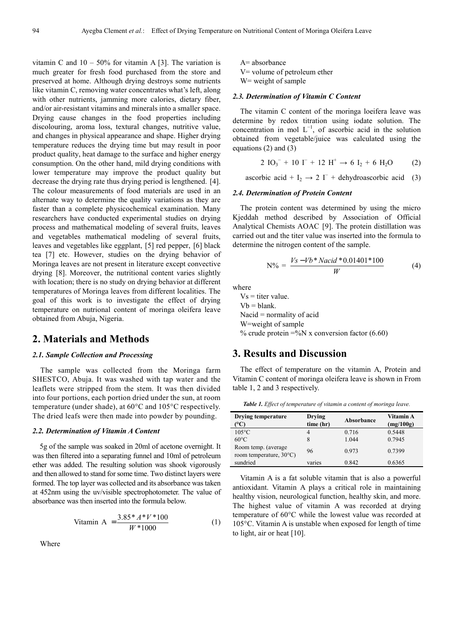vitamin C and  $10 - 50\%$  for vitamin A [3]. The variation is much greater for fresh food purchased from the store and preserved at home. Although drying destroys some nutrients like vitamin C, removing water concentrates what's left, along with other nutrients, jamming more calories, dietary fiber, and/or air-resistant vitamins and minerals into a smaller space. Drying cause changes in the food properties including discolouring, aroma loss, textural changes, nutritive value, and changes in physical appearance and shape. Higher drying temperature reduces the drying time but may result in poor product quality, heat damage to the surface and higher energy consumption. On the other hand, mild drying conditions with lower temperature may improve the product quality but decrease the drying rate thus drying period is lengthened. [4]. The colour measurements of food materials are used in an alternate way to determine the quality variations as they are faster than a complete physicochemical examination. Many researchers have conducted experimental studies on drying process and mathematical modeling of several fruits, leaves and vegetables mathematical modeling of several fruits, leaves and vegetables like eggplant, [5] red pepper, [6] black tea [7] etc. However, studies on the drying behavior of Moringa leaves are not present in literature except convective drying [8]. Moreover, the nutritional content varies slightly with location; there is no study on drying behavior at different temperatures of Moringa leaves from different localities. The goal of this work is to investigate the effect of drying temperature on nutrional content of moringa oleifera leave obtained from Abuja, Nigeria.

# **2. Materials and Methods**

#### *2.1. Sample Collection and Processing*

The sample was collected from the Moringa farm SHESTCO, Abuja. It was washed with tap water and the leaflets were stripped from the stem. It was then divided into four portions, each portion dried under the sun, at room temperature (under shade), at 60°C and 105°C respectively. The dried leafs were then made into powder by pounding.

#### *2.2. Determination of Vitamin A Content*

5g of the sample was soaked in 20ml of acetone overnight. It was then filtered into a separating funnel and 10ml of petroleum ether was added. The resulting solution was shook vigorously and then allowed to stand for some time. Two distinct layers were formed. The top layer was collected and its absorbance was taken at 452nm using the uv/visible spectrophotometer. The value of absorbance was then inserted into the formula below.

$$
\text{Vitamin A} = \frac{3.85 \cdot A \cdot V \cdot 100}{W \cdot 1000} \tag{1}
$$

Where

A= absorbance V= volume of petroleum ether W= weight of sample

#### *2.3. Determination of Vitamin C Content*

The vitamin C content of the moringa loeifera leave was determine by redox titration using iodate solution. The concentration in mol  $L^{-1}$ , of ascorbic acid in the solution obtained from vegetable/juice was calculated using the equations (2) and (3)

$$
2 IO_3^- + 10 I^- + 12 H^+ \rightarrow 6 I_2 + 6 H_2O \tag{2}
$$

ascorbic acid + I<sub>2</sub>  $\rightarrow$  2 I<sup>-</sup> + dehydroascorbic acid (3)

#### *2.4. Determination of Protein Content*

The protein content was determined by using the micro Kjeddah method described by Association of Official Analytical Chemists AOAC [9]. The protein distillation was carried out and the titer value was inserted into the formula to determine the nitrogen content of the sample.

$$
N\% = \frac{V_s - Vb * Nacid * 0.01401 * 100}{W}
$$
 (4)

where

 $Vs = titer value.$  $Vb = blank$ . Nacid = normality of acid W=weight of sample % crude protein  $=$ %N x conversion factor (6.60)

# **3. Results and Discussion**

The effect of temperature on the vitamin A, Protein and Vitamin C content of moringa oleifera leave is shown in From table 1, 2 and 3 respectively.

*Table 1. Effect of temperature of vitamin a content of moringa leave.* 

| <b>Drying temperature</b><br>$^{\circ}\mathrm{C}$ | Drying<br>time (hr) | Absorbance | Vitamin A<br>(mg/100g) |
|---------------------------------------------------|---------------------|------------|------------------------|
| $105^{\circ}$ C                                   | 4                   | 0.716      | 0.5448                 |
| $60^{\circ}$ C                                    | 8                   | 1.044      | 0.7945                 |
| Room temp. (average)<br>room temperature, 30°C)   | 96                  | 0.973      | 0.7399                 |
| sundried                                          | varies              | 0.842      | 0.6365                 |

Vitamin A is a fat soluble vitamin that is also a powerful antioxidant. Vitamin A plays a critical role in maintaining healthy vision, neurological function, healthy skin, and more. The highest value of vitamin A was recorded at drying temperature of 60°C while the lowest value was recorded at 105°C. Vitamin A is unstable when exposed for length of time to light, air or heat [10].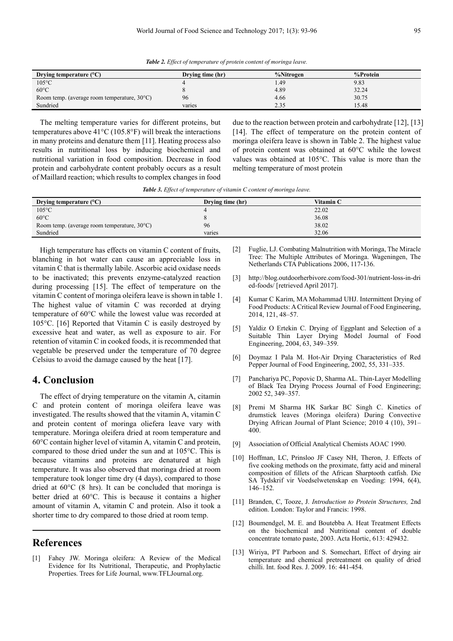*Table 2. Effect of temperature of protein content of moringa leave.* 

| Drying temperature $(^{\circ}C)$                      | Drying time (hr) | %Nitrogen | %Protein |
|-------------------------------------------------------|------------------|-----------|----------|
| $105^{\circ}$ C                                       |                  | .49       | 9.83     |
| $60^{\circ}$ C                                        |                  | 4.89      | 32.24    |
| Room temp. (average room temperature, $30^{\circ}$ C) | 96               | 4.66      | 30.75    |
| Sundried                                              | varies           | 2.35      | 15.48    |

The melting temperature varies for different proteins, but temperatures above 41°C (105.8°F) will break the interactions in many proteins and denature them [11]. Heating process also results in nutritional loss by inducing biochemical and nutritional variation in food composition. Decrease in food protein and carbohydrate content probably occurs as a result of Maillard reaction; which results to complex changes in food due to the reaction between protein and carbohydrate [12], [13] [14]. The effect of temperature on the protein content of moringa oleifera leave is shown in Table 2. The highest value of protein content was obtained at 60°C while the lowest values was obtained at 105°C. This value is more than the melting temperature of most protein

*Table 3. Effect of temperature of vitamin C content of moringa leave.* 

| Drying temperature $(^{\circ}C)$                      | Drying time (hr) | Vitamin C |
|-------------------------------------------------------|------------------|-----------|
| $105^{\circ}$ C                                       |                  | 22.02     |
| $60^{\circ}$ C                                        |                  | 36.08     |
| Room temp. (average room temperature, $30^{\circ}$ C) | 96               | 38.02     |
| Sundried                                              | varies           | 32.06     |

High temperature has effects on vitamin C content of fruits, blanching in hot water can cause an appreciable loss in vitamin C that is thermally labile. Ascorbic acid oxidase needs to be inactivated; this prevents enzyme-catalyzed reaction during processing [15]. The effect of temperature on the vitamin C content of moringa oleifera leave is shown in table 1. The highest value of vitamin C was recorded at drying temperature of 60°C while the lowest value was recorded at 105°C. [16] Reported that Vitamin C is easily destroyed by excessive heat and water, as well as exposure to air. For retention of vitamin C in cooked foods, it is recommended that vegetable be preserved under the temperature of 70 degree Celsius to avoid the damage caused by the heat [17].

# **4. Conclusion**

The effect of drying temperature on the vitamin A, citamin C and protein content of moringa oleifera leave was investigated. The results showed that the vitamin A, vitamin C and protein content of moringa oliefera leave vary with temperature. Moringa oleifera dried at room temperature and 60°C contain higher level of vitamin A, vitamin C and protein, compared to those dried under the sun and at 105°C. This is because vitamins and proteins are denatured at high temperature. It was also observed that moringa dried at room temperature took longer time dry (4 days), compared to those dried at 60°C (8 hrs). It can be concluded that moringa is better dried at 60°C. This is because it contains a higher amount of vitamin A, vitamin C and protein. Also it took a shorter time to dry compared to those dried at room temp.

## **References**

[1] Fahey JW. Moringa oleifera: A Review of the Medical Evidence for Its Nutritional, Therapeutic, and Prophylactic Properties. Trees for Life Journal, www.TFLJournal.org.

- [2] Fuglie, LJ. Combating Malnutrition with Moringa, The Miracle Tree: The Multiple Attributes of Moringa. Wageningen, The Netherlands CTA Publications 2006, 117-136.
- [3] http://blog.outdoorherbivore.com/food-301/nutrient-loss-in-dri ed-foods/ [retrieved April 2017].
- [4] Kumar C Karim, MA Mohammad UHJ. Intermittent Drying of Food Products: A Critical Review Journal of Food Engineering, 2014, 121, 48–57.
- [5] Yaldiz O Ertekin C. Drying of Eggplant and Selection of a Suitable Thin Layer Drying Model Journal of Food Engineering, 2004, 63, 349–359.
- [6] Doymaz I Pala M. Hot-Air Drying Characteristics of Red Pepper Journal of Food Engineering, 2002, 55, 331–335.
- [7] Panchariya PC, Popovic D, Sharma AL. Thin-Layer Modelling of Black Tea Drying Process Journal of Food Engineering; 2002 52, 349–357.
- [8] Premi M Sharma HK Sarkar BC Singh C. Kinetics of drumstick leaves (Moringa oleifera) During Convective Drying African Journal of Plant Science; 2010 4 (10), 391– 400.
- [9] Association of Official Analytical Chemists AOAC 1990.
- [10] Hoffman, LC, Prinsloo JF Casey NH, Theron, J. Effects of five cooking methods on the proximate, fatty acid and mineral composition of fillets of the African Sharptooth catfish. Die SA Tydskrif vir Voedselwetenskap en Voeding: 1994, 6(4), 146–152.
- [11] Branden, C, Tooze, J. *Introduction to Protein Structures,* 2nd edition. London: Taylor and Francis: 1998.
- [12] Boumendgel, M. E. and Boutebba A. Heat Treatment Effects on the biochemical and Nutritional content of double concentrate tomato paste, 2003. Acta Hortic, 613: 429432.
- [13] Wiriya, PT Parboon and S. Somechart, Effect of drying air temperature and chemical pretreatment on quality of dried chilli. Int. food Res. J. 2009. 16: 441-454.